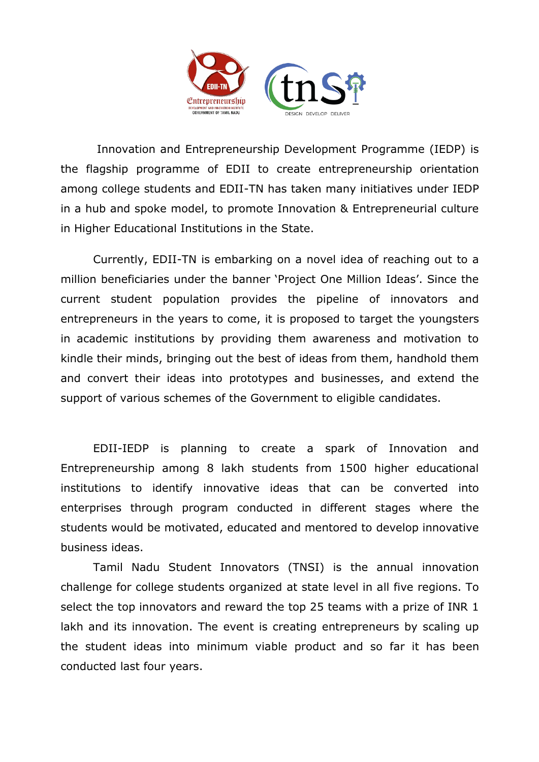

Innovation and Entrepreneurship Development Programme (IEDP) is the flagship programme of EDII to create entrepreneurship orientation among college students and EDII-TN has taken many initiatives under IEDP in a hub and spoke model, to promote Innovation & Entrepreneurial culture in Higher Educational Institutions in the State.

Currently, EDII-TN is embarking on a novel idea of reaching out to a million beneficiaries under the banner 'Project One Million Ideas'. Since the current student population provides the pipeline of innovators and entrepreneurs in the years to come, it is proposed to target the youngsters in academic institutions by providing them awareness and motivation to kindle their minds, bringing out the best of ideas from them, handhold them and convert their ideas into prototypes and businesses, and extend the support of various schemes of the Government to eligible candidates.

EDII-IEDP is planning to create a spark of Innovation and Entrepreneurship among 8 lakh students from 1500 higher educational institutions to identify innovative ideas that can be converted into enterprises through program conducted in different stages where the students would be motivated, educated and mentored to develop innovative business ideas.

Tamil Nadu Student Innovators (TNSI) is the annual innovation challenge for college students organized at state level in all five regions. To select the top innovators and reward the top 25 teams with a prize of INR 1 lakh and its innovation. The event is creating entrepreneurs by scaling up the student ideas into minimum viable product and so far it has been conducted last four years.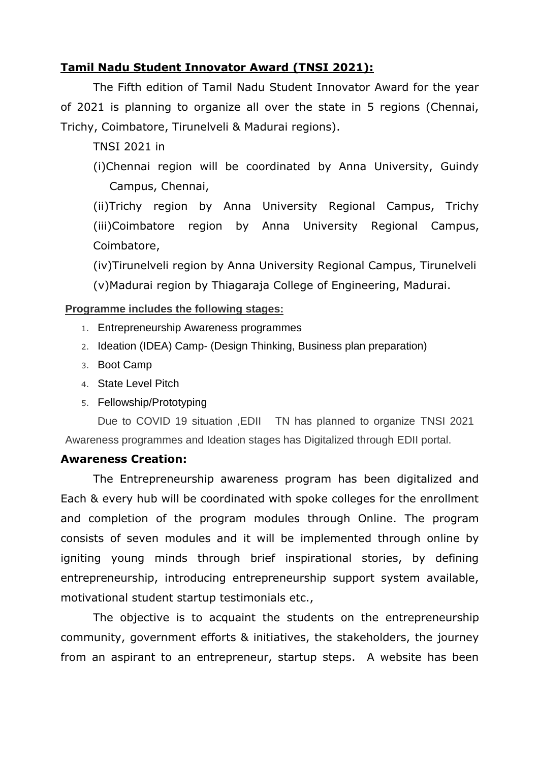# **Tamil Nadu Student Innovator Award (TNSI 2021):**

The Fifth edition of Tamil Nadu Student Innovator Award for the year of 2021 is planning to organize all over the state in 5 regions (Chennai, Trichy, Coimbatore, Tirunelveli & Madurai regions).

TNSI 2021 in

(i)Chennai region will be coordinated by Anna University, Guindy Campus, Chennai,

(ii)Trichy region by Anna University Regional Campus, Trichy (iii)Coimbatore region by Anna University Regional Campus, Coimbatore,

(iv)Tirunelveli region by Anna University Regional Campus, Tirunelveli (v)Madurai region by Thiagaraja College of Engineering, Madurai.

# **Programme includes the following stages:**

- 1. Entrepreneurship Awareness programmes
- 2. Ideation (IDEA) Camp- (Design Thinking, Business plan preparation)
- 3. Boot Camp
- 4. State Level Pitch
- 5. Fellowship/Prototyping

Due to COVID 19 situation ,EDII TN has planned to organize TNSI 2021 Awareness programmes and Ideation stages has Digitalized through EDII portal.

## **Awareness Creation:**

The Entrepreneurship awareness program has been digitalized and Each & every hub will be coordinated with spoke colleges for the enrollment and completion of the program modules through Online. The program consists of seven modules and it will be implemented through online by igniting young minds through brief inspirational stories, by defining entrepreneurship, introducing entrepreneurship support system available, motivational student startup testimonials etc.,

The objective is to acquaint the students on the entrepreneurship community, government efforts & initiatives, the stakeholders, the journey from an aspirant to an entrepreneur, startup steps. A website has been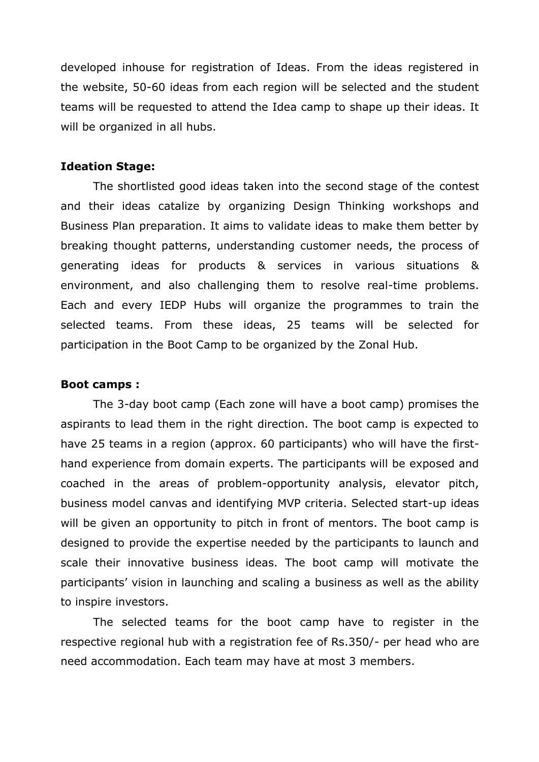developed inhouse for registration of Ideas. From the ideas registered in the website, 50-60 ideas from each region will be selected and the student teams will be requested to attend the Idea camp to shape up their ideas. It will be organized in all hubs.

#### **Ideation Stage:**

The shortlisted good ideas taken into the second stage of the contest and their ideas catalize by organizing Design Thinking workshops and Business Plan preparation. It aims to validate ideas to make them better by breaking thought patterns, understanding customer needs, the process of generating ideas for products & services in various situations & environment, and also challenging them to resolve real-time problems. Each and every IEDP Hubs will organize the programmes to train the selected teams. From these ideas, 25 teams will be selected for participation in the Boot Camp to be organized by the Zonal Hub.

#### **Boot camps :**

The 3-day boot camp (Each zone will have a boot camp) promises the aspirants to lead them in the right direction. The boot camp is expected to have 25 teams in a region (approx. 60 participants) who will have the firsthand experience from domain experts. The participants will be exposed and coached in the areas of problem-opportunity analysis, elevator pitch, business model canvas and identifying MVP criteria. Selected start-up ideas will be given an opportunity to pitch in front of mentors. The boot camp is designed to provide the expertise needed by the participants to launch and scale their innovative business ideas. The boot camp will motivate the participants' vision in launching and scaling a business as well as the ability to inspire investors.

The selected teams for the boot camp have to register in the respective regional hub with a registration fee of Rs.350/- per head who are need accommodation. Each team may have at most 3 members.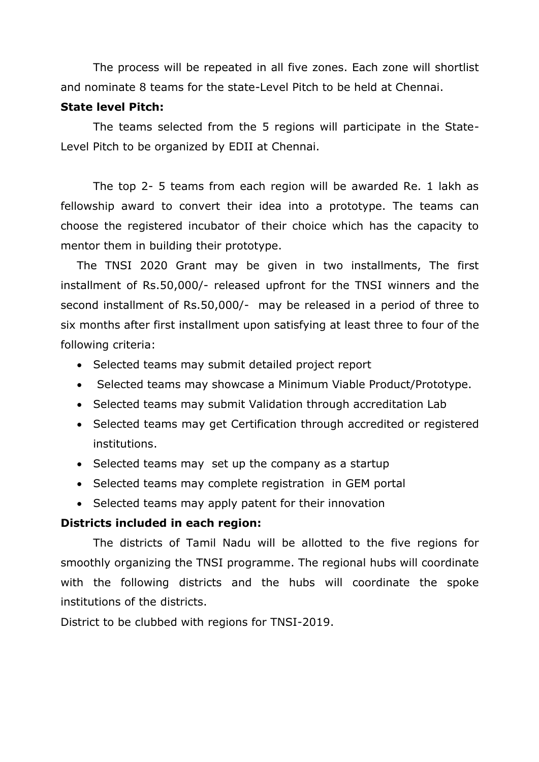The process will be repeated in all five zones. Each zone will shortlist and nominate 8 teams for the state-Level Pitch to be held at Chennai.

#### **State level Pitch:**

The teams selected from the 5 regions will participate in the State-Level Pitch to be organized by EDII at Chennai.

The top 2- 5 teams from each region will be awarded Re. 1 lakh as fellowship award to convert their idea into a prototype. The teams can choose the registered incubator of their choice which has the capacity to mentor them in building their prototype.

The TNSI 2020 Grant may be given in two installments, The first installment of Rs.50,000/- released upfront for the TNSI winners and the second installment of Rs.50,000/- may be released in a period of three to six months after first installment upon satisfying at least three to four of the following criteria:

- Selected teams may submit detailed project report
- Selected teams may showcase a Minimum Viable Product/Prototype.
- Selected teams may submit Validation through accreditation Lab
- Selected teams may get Certification through accredited or registered institutions.
- Selected teams may set up the company as a startup
- Selected teams may complete registration in GEM portal
- Selected teams may apply patent for their innovation

## **Districts included in each region:**

The districts of Tamil Nadu will be allotted to the five regions for smoothly organizing the TNSI programme. The regional hubs will coordinate with the following districts and the hubs will coordinate the spoke institutions of the districts.

District to be clubbed with regions for TNSI-2019.